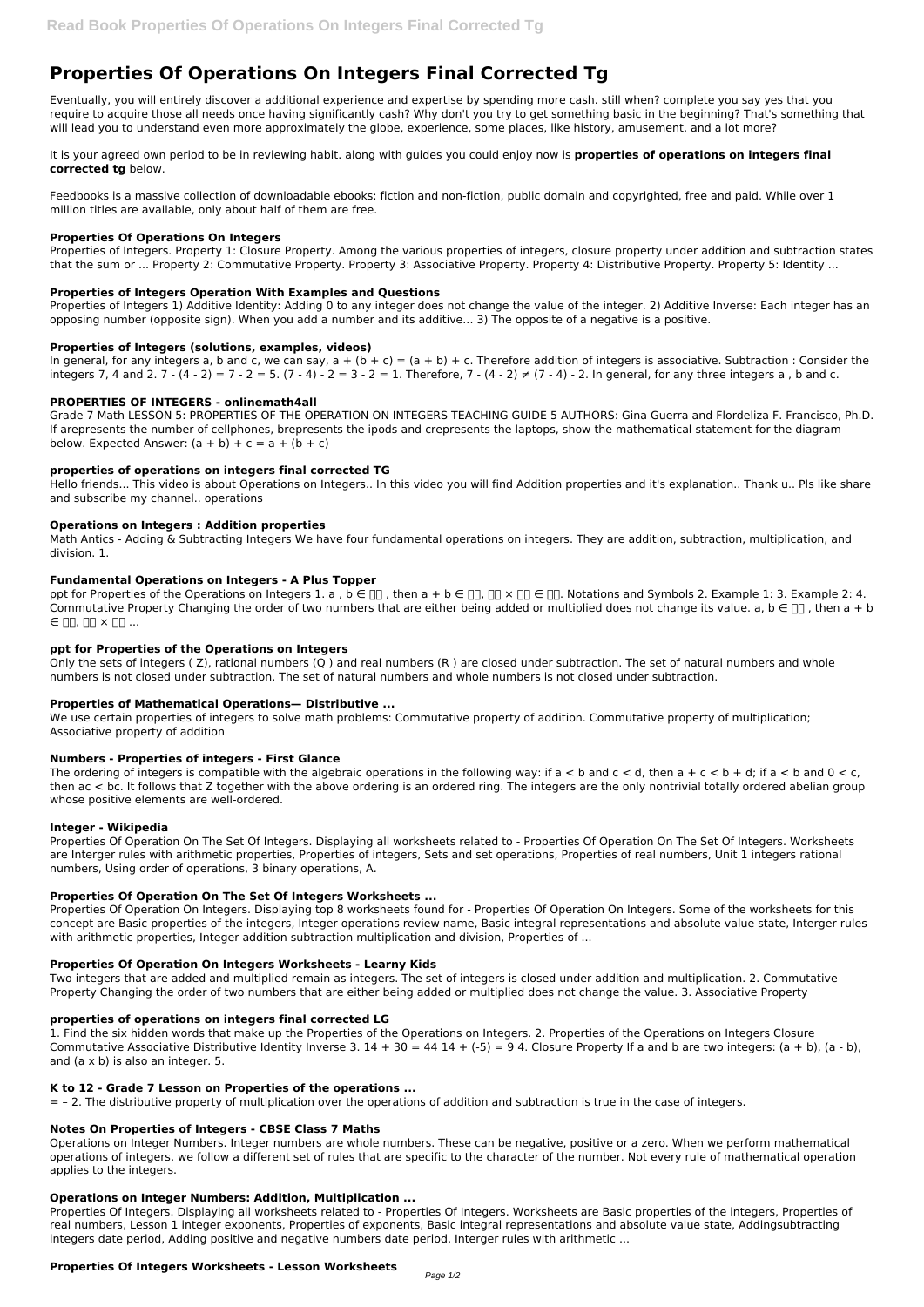# **Properties Of Operations On Integers Final Corrected Tg**

Eventually, you will entirely discover a additional experience and expertise by spending more cash. still when? complete you say yes that you require to acquire those all needs once having significantly cash? Why don't you try to get something basic in the beginning? That's something that will lead you to understand even more approximately the globe, experience, some places, like history, amusement, and a lot more?

It is your agreed own period to be in reviewing habit. along with guides you could enjoy now is **properties of operations on integers final corrected tg** below.

Feedbooks is a massive collection of downloadable ebooks: fiction and non-fiction, public domain and copyrighted, free and paid. While over 1 million titles are available, only about half of them are free.

## **Properties Of Operations On Integers**

Grade 7 Math LESSON 5: PROPERTIES OF THE OPERATION ON INTEGERS TEACHING GUIDE 5 AUTHORS: Gina Guerra and Flordeliza F. Francisco, Ph.D. If arepresents the number of cellphones, brepresents the ipods and crepresents the laptops, show the mathematical statement for the diagram below. Expected Answer:  $(a + b) + c = a + (b + c)$ 

Properties of Integers. Property 1: Closure Property. Among the various properties of integers, closure property under addition and subtraction states that the sum or ... Property 2: Commutative Property. Property 3: Associative Property. Property 4: Distributive Property. Property 5: Identity ...

## **Properties of Integers Operation With Examples and Questions**

Properties of Integers 1) Additive Identity: Adding 0 to any integer does not change the value of the integer. 2) Additive Inverse: Each integer has an opposing number (opposite sign). When you add a number and its additive... 3) The opposite of a negative is a positive.

## **Properties of Integers (solutions, examples, videos)**

In general, for any integers a, b and c, we can say,  $a + (b + c) = (a + b) + c$ . Therefore addition of integers is associative. Subtraction : Consider the integers 7, 4 and 2. 7 - (4 - 2) = 7 - 2 = 5. (7 - 4) - 2 = 3 - 2 = 1. Therefore, 7 - (4 - 2) ≠ (7 - 4) - 2. In general, for any three integers a, b and c.

## **PROPERTIES OF INTEGERS - onlinemath4all**

The ordering of integers is compatible with the algebraic operations in the following way: if  $a < b$  and  $c < d$ , then  $a + c < b + d$ ; if  $a < b$  and  $0 < c$ , then ac < bc. It follows that Z together with the above ordering is an ordered ring. The integers are the only nontrivial totally ordered abelian group whose positive elements are well-ordered.

## **properties of operations on integers final corrected TG**

Hello friends... This video is about Operations on Integers.. In this video you will find Addition properties and it's explanation.. Thank u.. Pls like share and subscribe my channel.. operations

#### **Operations on Integers : Addition properties**

Math Antics - Adding & Subtracting Integers We have four fundamental operations on integers. They are addition, subtraction, multiplication, and division. 1.

## **Fundamental Operations on Integers - A Plus Topper**

ppt for Properties of the Operations on Integers 1. a,  $b \in \Box$ , then  $a + b \in \Box$ ,  $\Box \Box \times \Box \Box \in \Box$ . Notations and Symbols 2. Example 1: 3. Example 2: 4. Commutative Property Changing the order of two numbers that are either being added or multiplied does not change its value, a, b  $\in \Box$ , then a + b  $\in \mathbb{R}$ ,  $\mathbb{R} \times \mathbb{R}$  ...

# **ppt for Properties of the Operations on Integers**

Only the sets of integers ( Z), rational numbers (Q ) and real numbers (R ) are closed under subtraction. The set of natural numbers and whole numbers is not closed under subtraction. The set of natural numbers and whole numbers is not closed under subtraction.

## **Properties of Mathematical Operations— Distributive ...**

We use certain properties of integers to solve math problems: Commutative property of addition. Commutative property of multiplication; Associative property of addition

#### **Numbers - Properties of integers - First Glance**

#### **Integer - Wikipedia**

Properties Of Operation On The Set Of Integers. Displaying all worksheets related to - Properties Of Operation On The Set Of Integers. Worksheets are Interger rules with arithmetic properties, Properties of integers, Sets and set operations, Properties of real numbers, Unit 1 integers rational numbers, Using order of operations, 3 binary operations, A.

# **Properties Of Operation On The Set Of Integers Worksheets ...**

Properties Of Operation On Integers. Displaying top 8 worksheets found for - Properties Of Operation On Integers. Some of the worksheets for this concept are Basic properties of the integers, Integer operations review name, Basic integral representations and absolute value state, Interger rules with arithmetic properties, Integer addition subtraction multiplication and division, Properties of ...

#### **Properties Of Operation On Integers Worksheets - Learny Kids**

Two integers that are added and multiplied remain as integers. The set of integers is closed under addition and multiplication. 2. Commutative

Property Changing the order of two numbers that are either being added or multiplied does not change the value. 3. Associative Property

## **properties of operations on integers final corrected LG**

1. Find the six hidden words that make up the Properties of the Operations on Integers. 2. Properties of the Operations on Integers Closure Commutative Associative Distributive Identity Inverse 3.  $14 + 30 = 44$  14 +  $(-5) = 9$  4. Closure Property If a and b are two integers:  $(a + b)$ ,  $(a - b)$ , and (a x b) is also an integer. 5.

#### **K to 12 - Grade 7 Lesson on Properties of the operations ...**

= – 2. The distributive property of multiplication over the operations of addition and subtraction is true in the case of integers.

#### **Notes On Properties of Integers - CBSE Class 7 Maths**

Operations on Integer Numbers. Integer numbers are whole numbers. These can be negative, positive or a zero. When we perform mathematical operations of integers, we follow a different set of rules that are specific to the character of the number. Not every rule of mathematical operation applies to the integers.

#### **Operations on Integer Numbers: Addition, Multiplication ...**

Properties Of Integers. Displaying all worksheets related to - Properties Of Integers. Worksheets are Basic properties of the integers, Properties of real numbers, Lesson 1 integer exponents, Properties of exponents, Basic integral representations and absolute value state, Addingsubtracting integers date period, Adding positive and negative numbers date period, Interger rules with arithmetic ...

## **Properties Of Integers Worksheets - Lesson Worksheets**